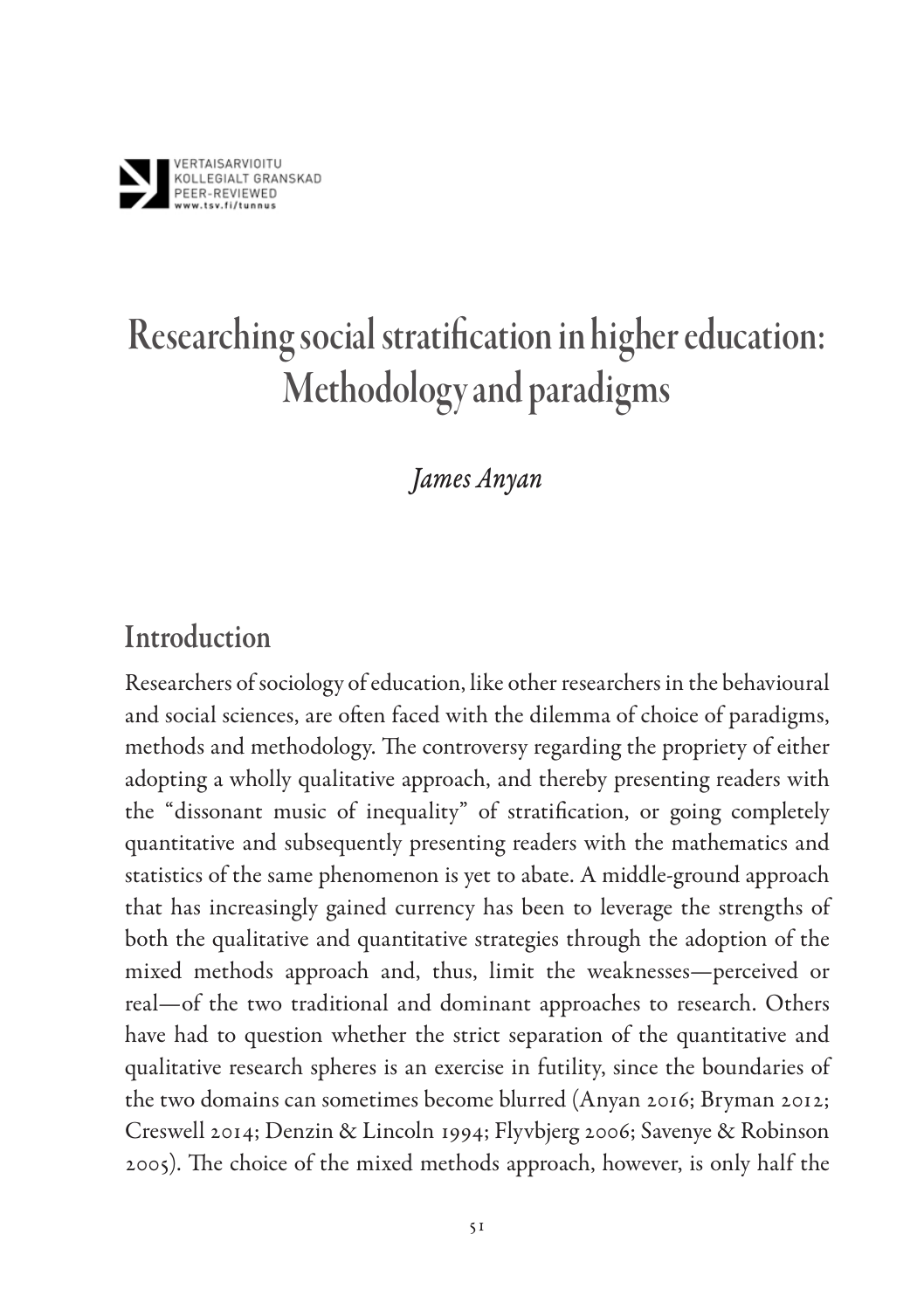

## *James Anyan*

# Introduction

Researchers of sociology of education, like other researchers in the behavioural and social sciences, are often faced with the dilemma of choice of paradigms, methods and methodology. The controversy regarding the propriety of either adopting a wholly qualitative approach, and thereby presenting readers with the "dissonant music of inequality" of stratification, or going completely quantitative and subsequently presenting readers with the mathematics and statistics of the same phenomenon is yet to abate. A middle-ground approach that has increasingly gained currency has been to leverage the strengths of both the qualitative and quantitative strategies through the adoption of the mixed methods approach and, thus, limit the weaknesses—perceived or real—of the two traditional and dominant approaches to research. Others have had to question whether the strict separation of the quantitative and qualitative research spheres is an exercise in futility, since the boundaries of the two domains can sometimes become blurred (Anyan 2016; Bryman 2012; Creswell 2014; Denzin & Lincoln 1994; Flyvbjerg 2006; Savenye & Robinson 2005). The choice of the mixed methods approach, however, is only half the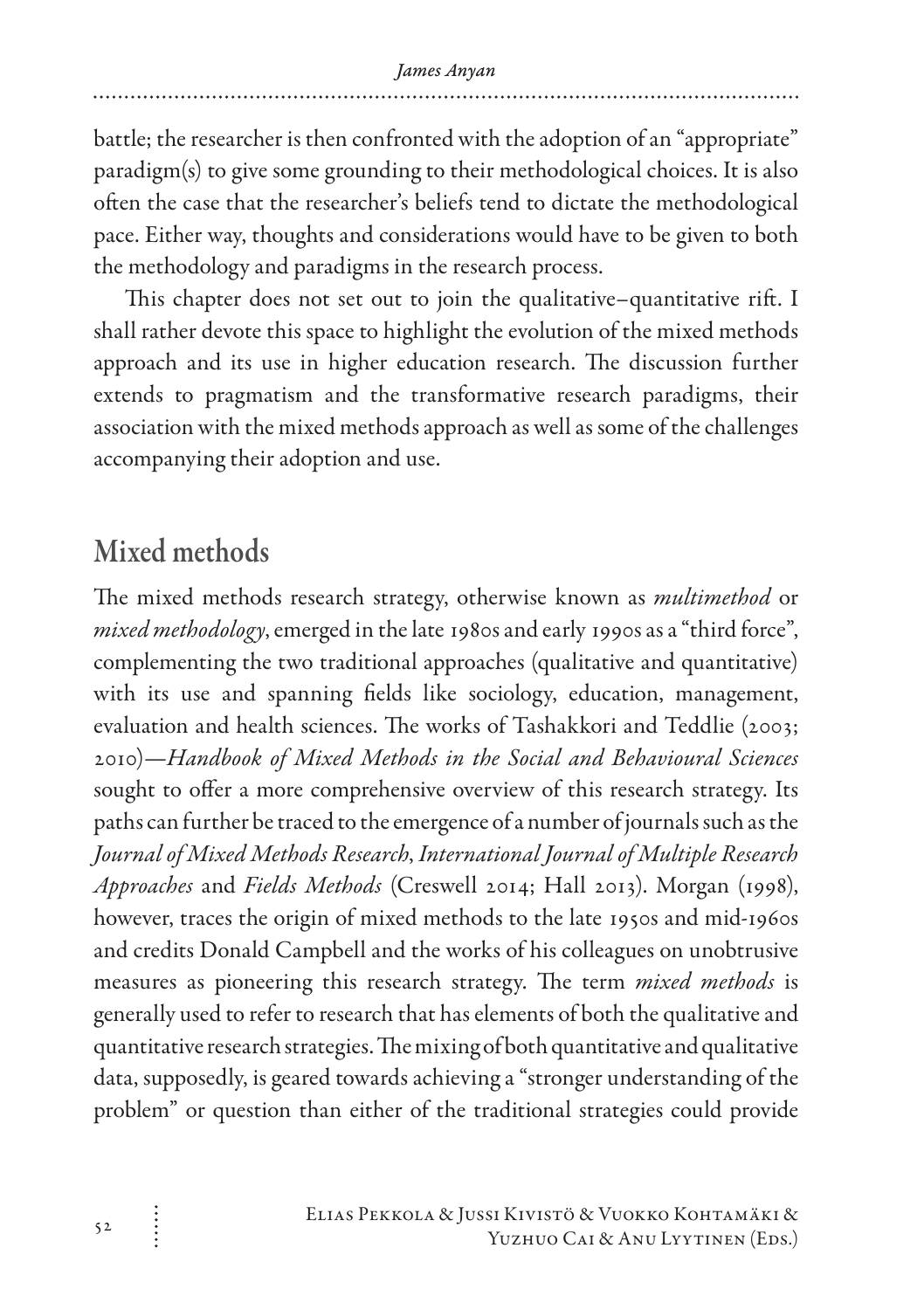battle; the researcher is then confronted with the adoption of an "appropriate" paradigm(s) to give some grounding to their methodological choices. It is also often the case that the researcher's beliefs tend to dictate the methodological pace. Either way, thoughts and considerations would have to be given to both the methodology and paradigms in the research process.

This chapter does not set out to join the qualitative–quantitative rift. I shall rather devote this space to highlight the evolution of the mixed methods approach and its use in higher education research. The discussion further extends to pragmatism and the transformative research paradigms, their association with the mixed methods approach as well as some of the challenges accompanying their adoption and use.

# Mixed methods

The mixed methods research strategy, otherwise known as *multimethod* or *mixed methodology*, emerged in the late 1980s and early 1990s as a "third force", complementing the two traditional approaches (qualitative and quantitative) with its use and spanning fields like sociology, education, management, evaluation and health sciences. The works of Tashakkori and Teddlie (2003; 2010)—*Handbook of Mixed Methods in the Social and Behavioural Sciences* sought to offer a more comprehensive overview of this research strategy. Its paths can further be traced to the emergence of a number of journals such as the *Journal of Mixed Methods Research*, *International Journal of Multiple Research Approaches* and *Fields Methods* (Creswell 2014; Hall 2013). Morgan (1998), however, traces the origin of mixed methods to the late 1950s and mid-1960s and credits Donald Campbell and the works of his colleagues on unobtrusive measures as pioneering this research strategy. The term *mixed methods* is generally used to refer to research that has elements of both the qualitative and quantitative research strategies. The mixing of both quantitative and qualitative data, supposedly, is geared towards achieving a "stronger understanding of the problem" or question than either of the traditional strategies could provide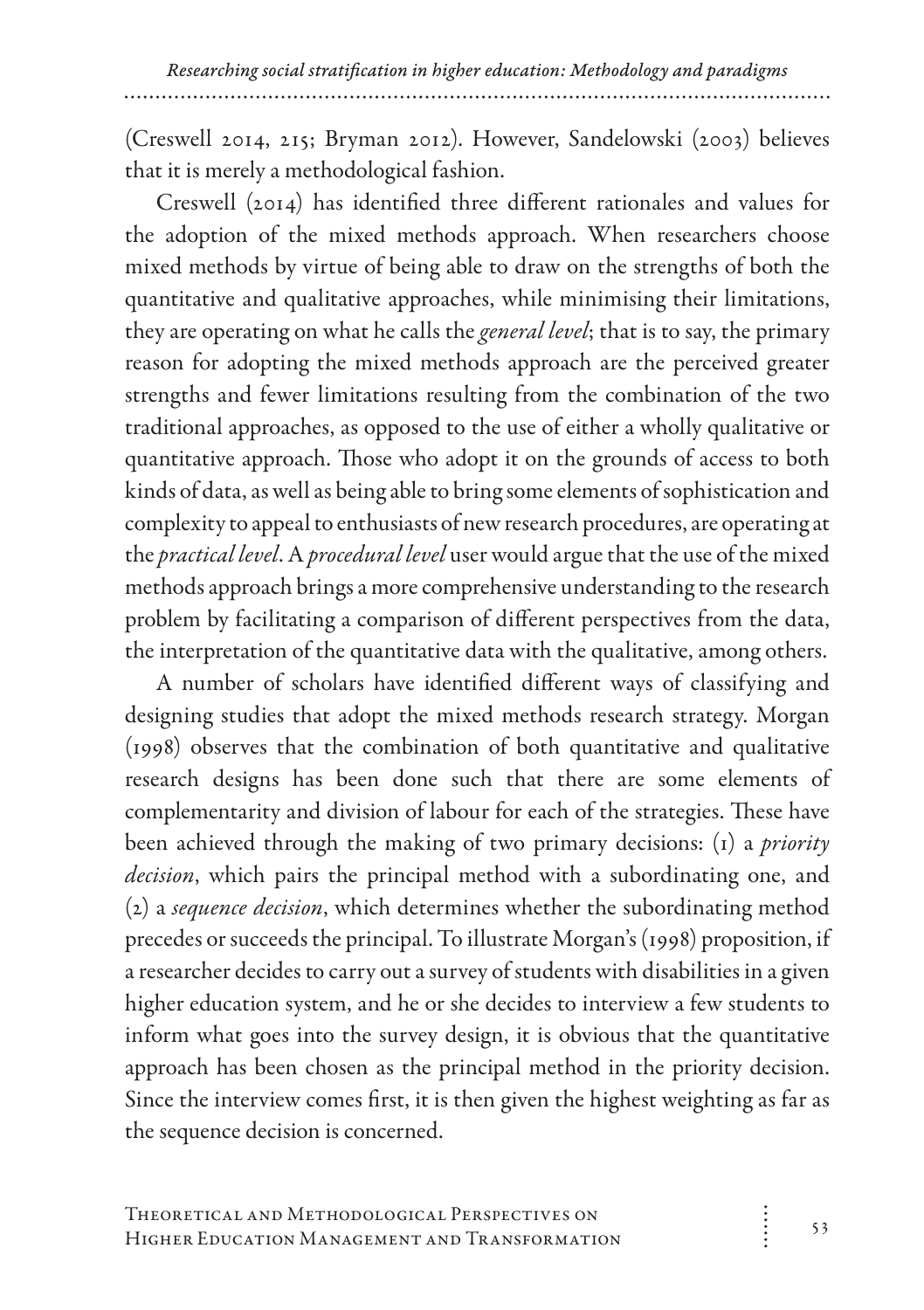(Creswell 2014, 215; Bryman 2012). However, Sandelowski (2003) believes that it is merely a methodological fashion.

Creswell (2014) has identified three different rationales and values for the adoption of the mixed methods approach. When researchers choose mixed methods by virtue of being able to draw on the strengths of both the quantitative and qualitative approaches, while minimising their limitations, they are operating on what he calls the *general level*; that is to say, the primary reason for adopting the mixed methods approach are the perceived greater strengths and fewer limitations resulting from the combination of the two traditional approaches, as opposed to the use of either a wholly qualitative or quantitative approach. Those who adopt it on the grounds of access to both kinds of data, as well as being able to bring some elements of sophistication and complexity to appeal to enthusiasts of new research procedures, are operating at the *practical level*. A *procedural level* user would argue that the use of the mixed methods approach brings a more comprehensive understanding to the research problem by facilitating a comparison of different perspectives from the data, the interpretation of the quantitative data with the qualitative, among others.

A number of scholars have identified different ways of classifying and designing studies that adopt the mixed methods research strategy. Morgan (1998) observes that the combination of both quantitative and qualitative research designs has been done such that there are some elements of complementarity and division of labour for each of the strategies. These have been achieved through the making of two primary decisions: (1) a *priority decision*, which pairs the principal method with a subordinating one, and (2) a *sequence decision*, which determines whether the subordinating method precedes or succeeds the principal. To illustrate Morgan's (1998) proposition, if a researcher decides to carry out a survey of students with disabilities in a given higher education system, and he or she decides to interview a few students to inform what goes into the survey design, it is obvious that the quantitative approach has been chosen as the principal method in the priority decision. Since the interview comes first, it is then given the highest weighting as far as the sequence decision is concerned.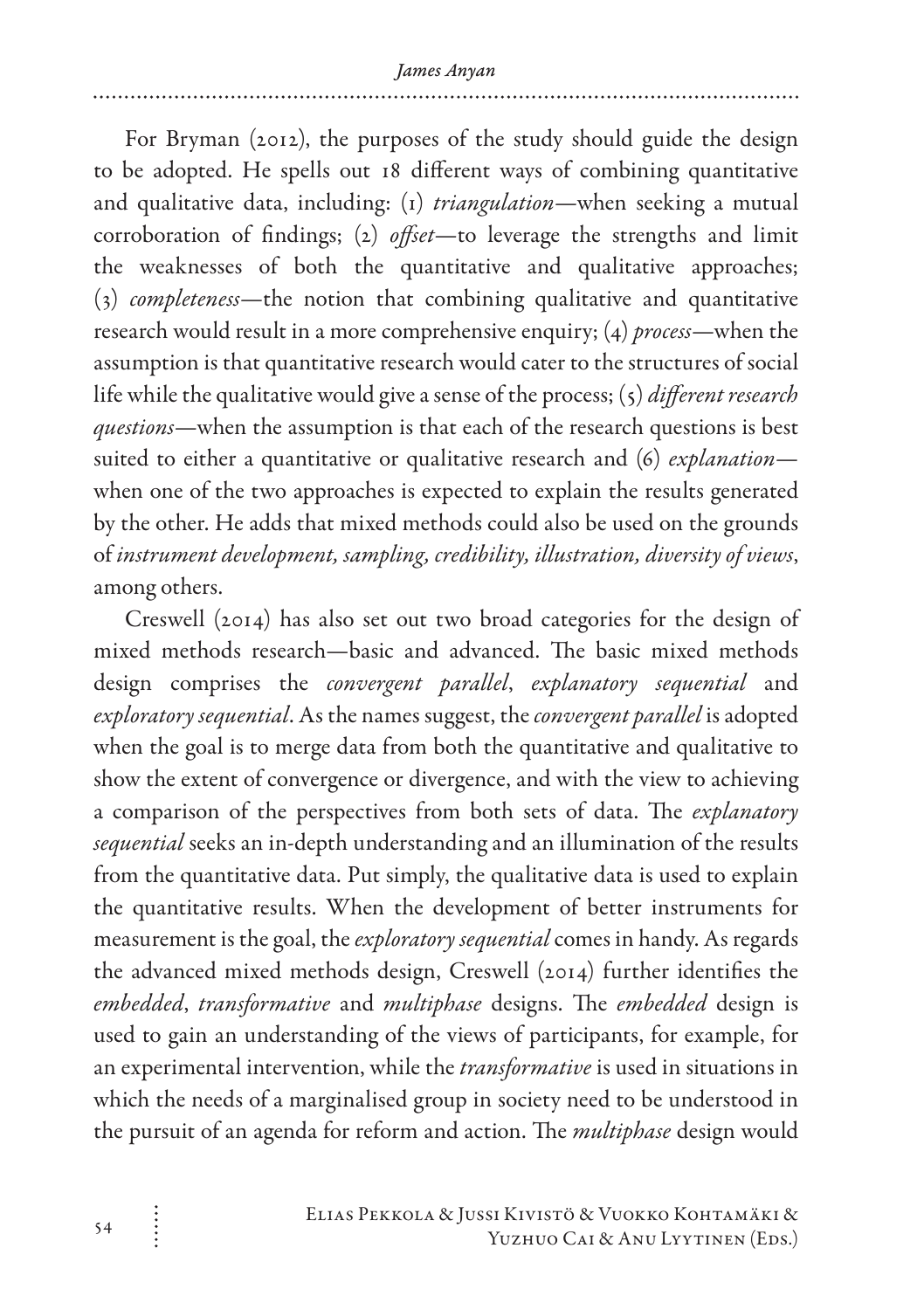For Bryman (2012), the purposes of the study should guide the design to be adopted. He spells out 18 different ways of combining quantitative and qualitative data, including: (1) *triangulation*—when seeking a mutual corroboration of findings; (2) *offset*—to leverage the strengths and limit the weaknesses of both the quantitative and qualitative approaches; (3) *completeness*—the notion that combining qualitative and quantitative research would result in a more comprehensive enquiry; (4) *process*—when the assumption is that quantitative research would cater to the structures of social life while the qualitative would give a sense of the process; (5) *different research questions*—when the assumption is that each of the research questions is best suited to either a quantitative or qualitative research and (6) *explanation* when one of the two approaches is expected to explain the results generated by the other. He adds that mixed methods could also be used on the grounds of *instrument development, sampling, credibility, illustration, diversity of views*, among others.

Creswell (2014) has also set out two broad categories for the design of mixed methods research—basic and advanced. The basic mixed methods design comprises the *convergent parallel*, *explanatory sequential* and *exploratory sequential*. As the names suggest, the *convergent parallel* is adopted when the goal is to merge data from both the quantitative and qualitative to show the extent of convergence or divergence, and with the view to achieving a comparison of the perspectives from both sets of data. The *explanatory sequential* seeks an in-depth understanding and an illumination of the results from the quantitative data. Put simply, the qualitative data is used to explain the quantitative results. When the development of better instruments for measurement is the goal, the *exploratory sequential* comes in handy. As regards the advanced mixed methods design, Creswell (2014) further identifies the *embedded*, *transformative* and *multiphase* designs. The *embedded* design is used to gain an understanding of the views of participants, for example, for an experimental intervention, while the *transformative* is used in situations in which the needs of a marginalised group in society need to be understood in the pursuit of an agenda for reform and action. The *multiphase* design would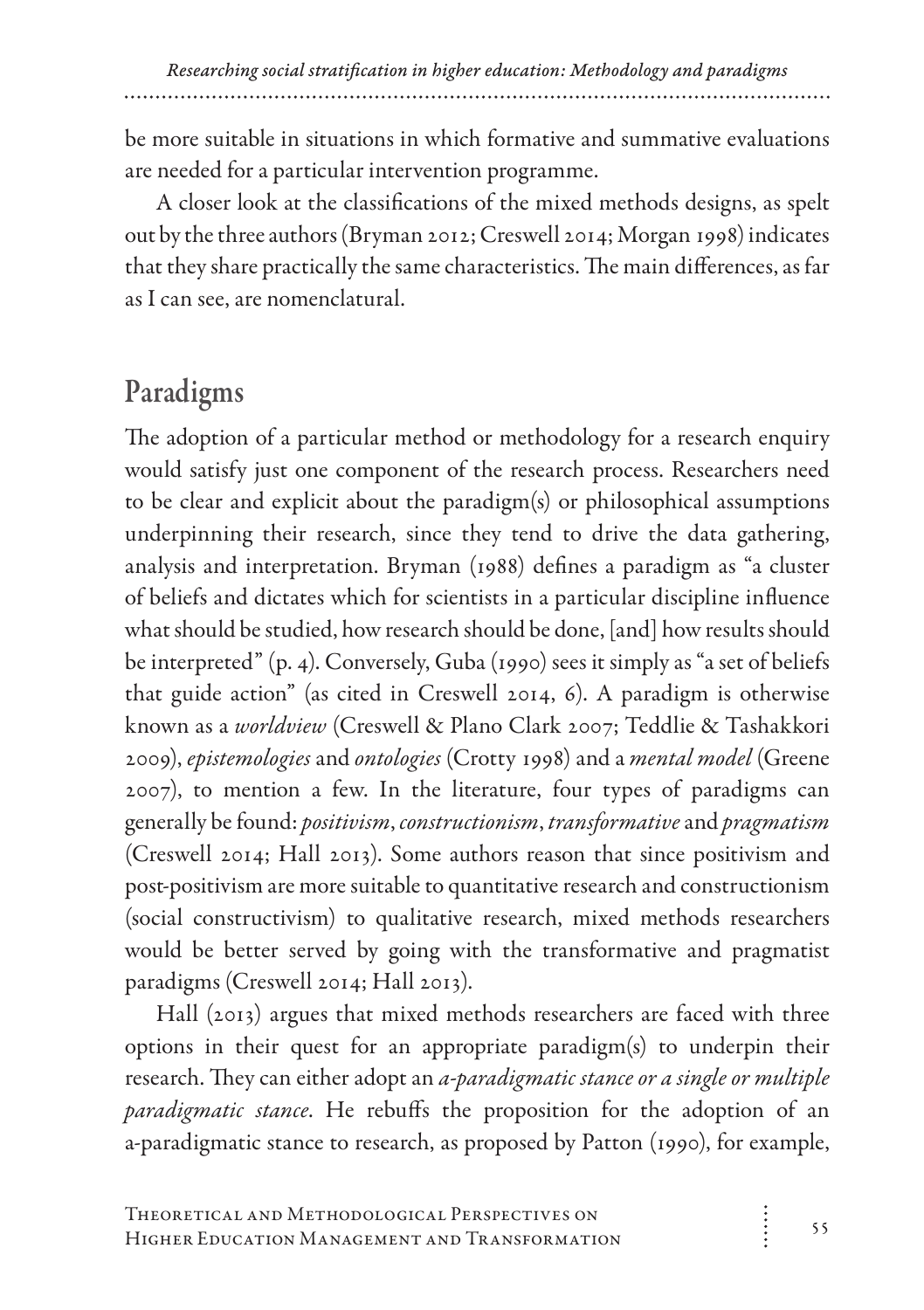be more suitable in situations in which formative and summative evaluations are needed for a particular intervention programme.

A closer look at the classifications of the mixed methods designs, as spelt out by the three authors (Bryman 2012; Creswell 2014; Morgan 1998) indicates that they share practically the same characteristics. The main differences, as far as I can see, are nomenclatural.

# Paradigms

The adoption of a particular method or methodology for a research enquiry would satisfy just one component of the research process. Researchers need to be clear and explicit about the paradigm(s) or philosophical assumptions underpinning their research, since they tend to drive the data gathering, analysis and interpretation. Bryman (1988) defines a paradigm as "a cluster of beliefs and dictates which for scientists in a particular discipline influence what should be studied, how research should be done, [and] how results should be interpreted" (p. 4). Conversely, Guba (1990) sees it simply as "a set of beliefs that guide action" (as cited in Creswell 2014, 6). A paradigm is otherwise known as a *worldview* (Creswell & Plano Clark 2007; Teddlie & Tashakkori 2009), *epistemologies* and *ontologies* (Crotty 1998) and a *mental model* (Greene 2007), to mention a few. In the literature, four types of paradigms can generally be found: *positivism*, *constructionism*, *transformative* and *pragmatism* (Creswell 2014; Hall 2013). Some authors reason that since positivism and post-positivism are more suitable to quantitative research and constructionism (social constructivism) to qualitative research, mixed methods researchers would be better served by going with the transformative and pragmatist paradigms (Creswell 2014; Hall 2013).

Hall (2013) argues that mixed methods researchers are faced with three options in their quest for an appropriate paradigm(s) to underpin their research. They can either adopt an *a-paradigmatic stance or a single or multiple paradigmatic stance*. He rebuffs the proposition for the adoption of an a-paradigmatic stance to research, as proposed by Patton (1990), for example,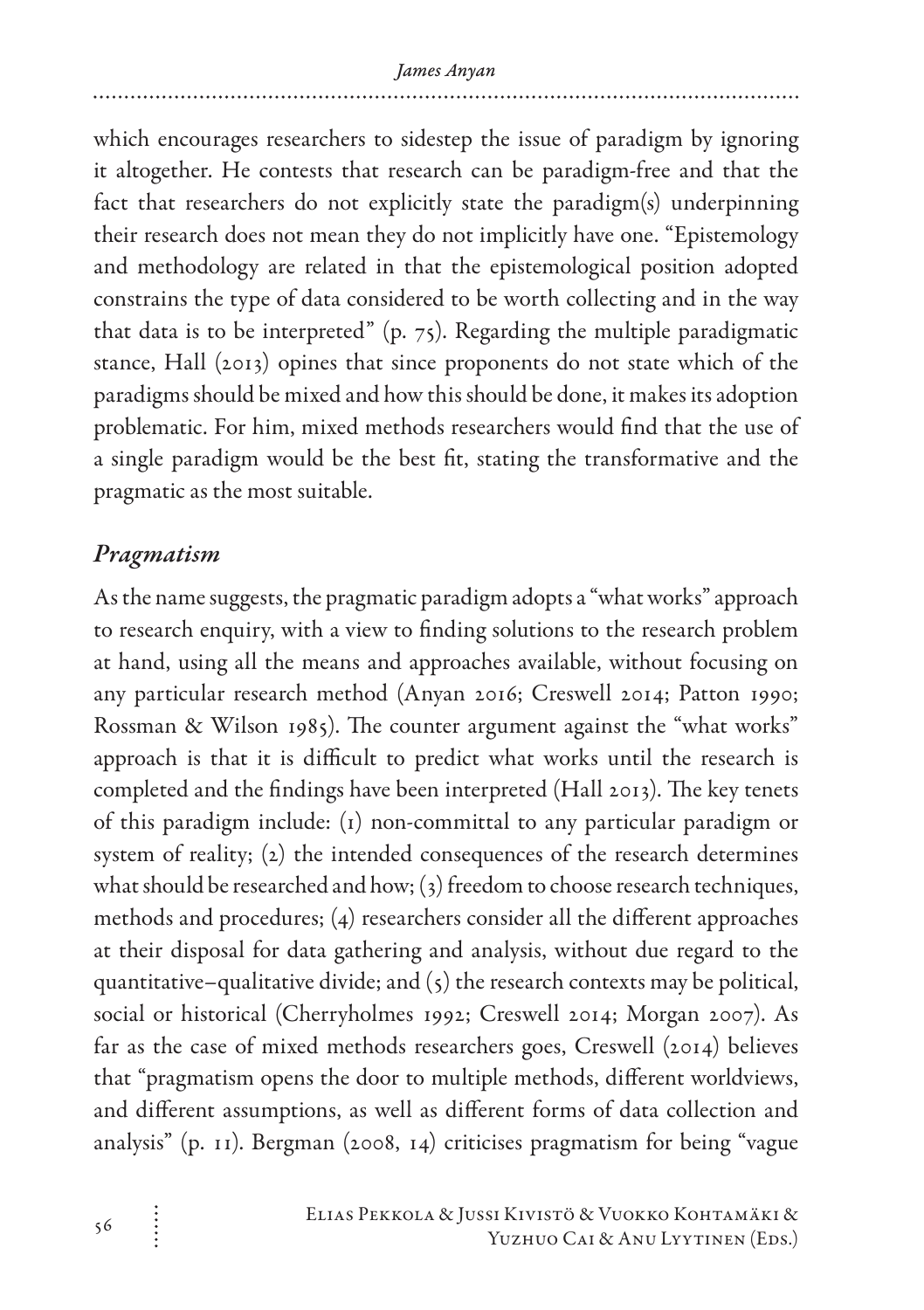which encourages researchers to sidestep the issue of paradigm by ignoring it altogether. He contests that research can be paradigm-free and that the fact that researchers do not explicitly state the paradigm(s) underpinning their research does not mean they do not implicitly have one. "Epistemology and methodology are related in that the epistemological position adopted constrains the type of data considered to be worth collecting and in the way that data is to be interpreted" (p. 75). Regarding the multiple paradigmatic stance, Hall (2013) opines that since proponents do not state which of the paradigms should be mixed and how this should be done, it makes its adoption problematic. For him, mixed methods researchers would find that the use of a single paradigm would be the best fit, stating the transformative and the pragmatic as the most suitable.

#### *Pragmatism*

As the name suggests, the pragmatic paradigm adopts a "what works" approach to research enquiry, with a view to finding solutions to the research problem at hand, using all the means and approaches available, without focusing on any particular research method (Anyan 2016; Creswell 2014; Patton 1990; Rossman & Wilson 1985). The counter argument against the "what works" approach is that it is difficult to predict what works until the research is completed and the findings have been interpreted (Hall 2013). The key tenets of this paradigm include: (1) non-committal to any particular paradigm or system of reality; (2) the intended consequences of the research determines what should be researched and how; (3) freedom to choose research techniques, methods and procedures; (4) researchers consider all the different approaches at their disposal for data gathering and analysis, without due regard to the quantitative–qualitative divide; and  $(5)$  the research contexts may be political, social or historical (Cherryholmes 1992; Creswell 2014; Morgan 2007). As far as the case of mixed methods researchers goes, Creswell (2014) believes that "pragmatism opens the door to multiple methods, different worldviews, and different assumptions, as well as different forms of data collection and analysis" (p. 11). Bergman (2008, 14) criticises pragmatism for being "vague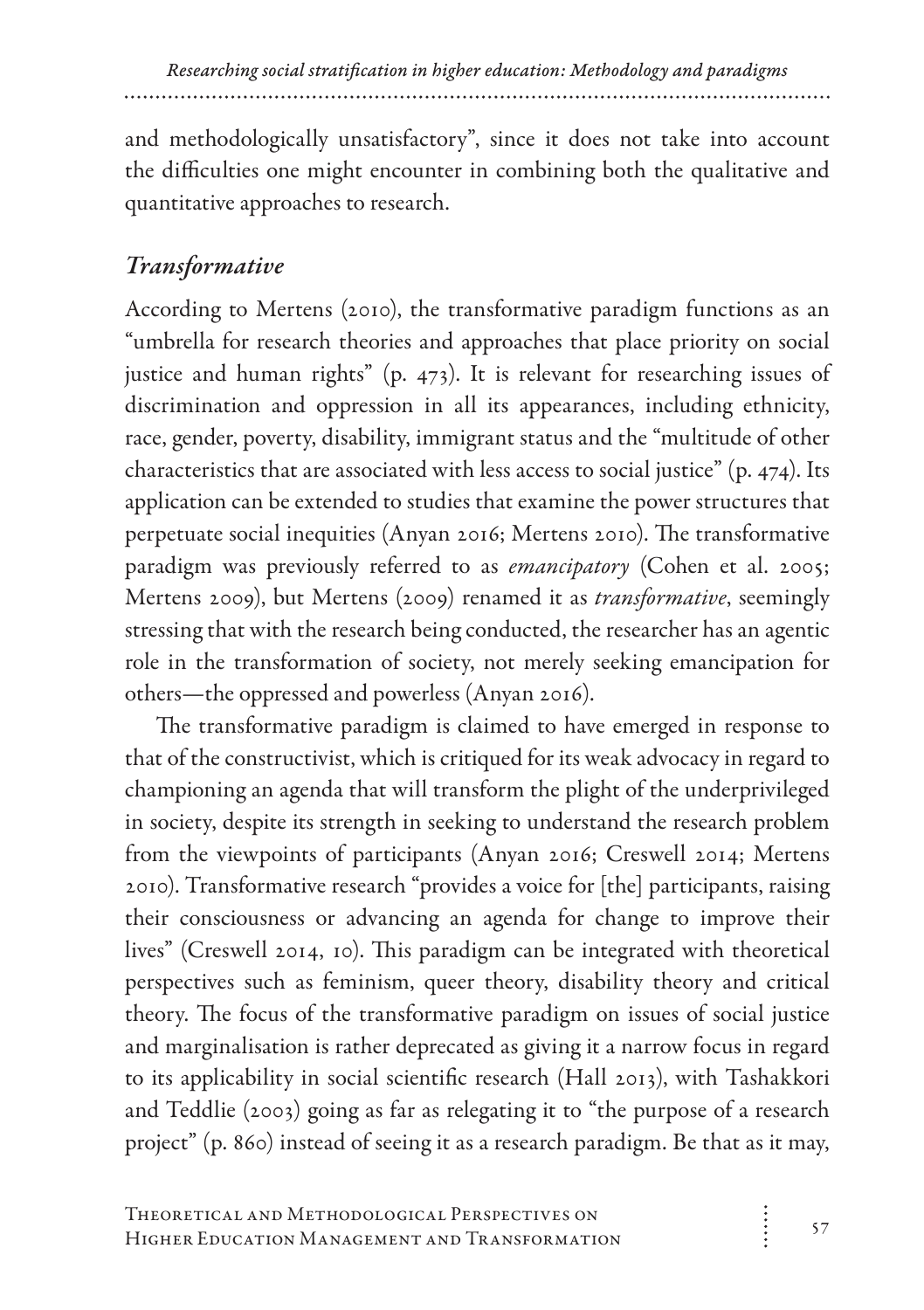and methodologically unsatisfactory", since it does not take into account the difficulties one might encounter in combining both the qualitative and quantitative approaches to research.

### *Transformative*

According to Mertens (2010), the transformative paradigm functions as an "umbrella for research theories and approaches that place priority on social justice and human rights" (p. 473). It is relevant for researching issues of discrimination and oppression in all its appearances, including ethnicity, race, gender, poverty, disability, immigrant status and the "multitude of other characteristics that are associated with less access to social justice" (p. 474). Its application can be extended to studies that examine the power structures that perpetuate social inequities (Anyan 2016; Mertens 2010). The transformative paradigm was previously referred to as *emancipatory* (Cohen et al. 2005; Mertens 2009), but Mertens (2009) renamed it as *transformative*, seemingly stressing that with the research being conducted, the researcher has an agentic role in the transformation of society, not merely seeking emancipation for others—the oppressed and powerless (Anyan 2016).

The transformative paradigm is claimed to have emerged in response to that of the constructivist, which is critiqued for its weak advocacy in regard to championing an agenda that will transform the plight of the underprivileged in society, despite its strength in seeking to understand the research problem from the viewpoints of participants (Anyan 2016; Creswell 2014; Mertens 2010). Transformative research "provides a voice for [the] participants, raising their consciousness or advancing an agenda for change to improve their lives" (Creswell 2014, 10). This paradigm can be integrated with theoretical perspectives such as feminism, queer theory, disability theory and critical theory. The focus of the transformative paradigm on issues of social justice and marginalisation is rather deprecated as giving it a narrow focus in regard to its applicability in social scientific research (Hall 2013), with Tashakkori and Teddlie (2003) going as far as relegating it to "the purpose of a research project" (p. 860) instead of seeing it as a research paradigm. Be that as it may,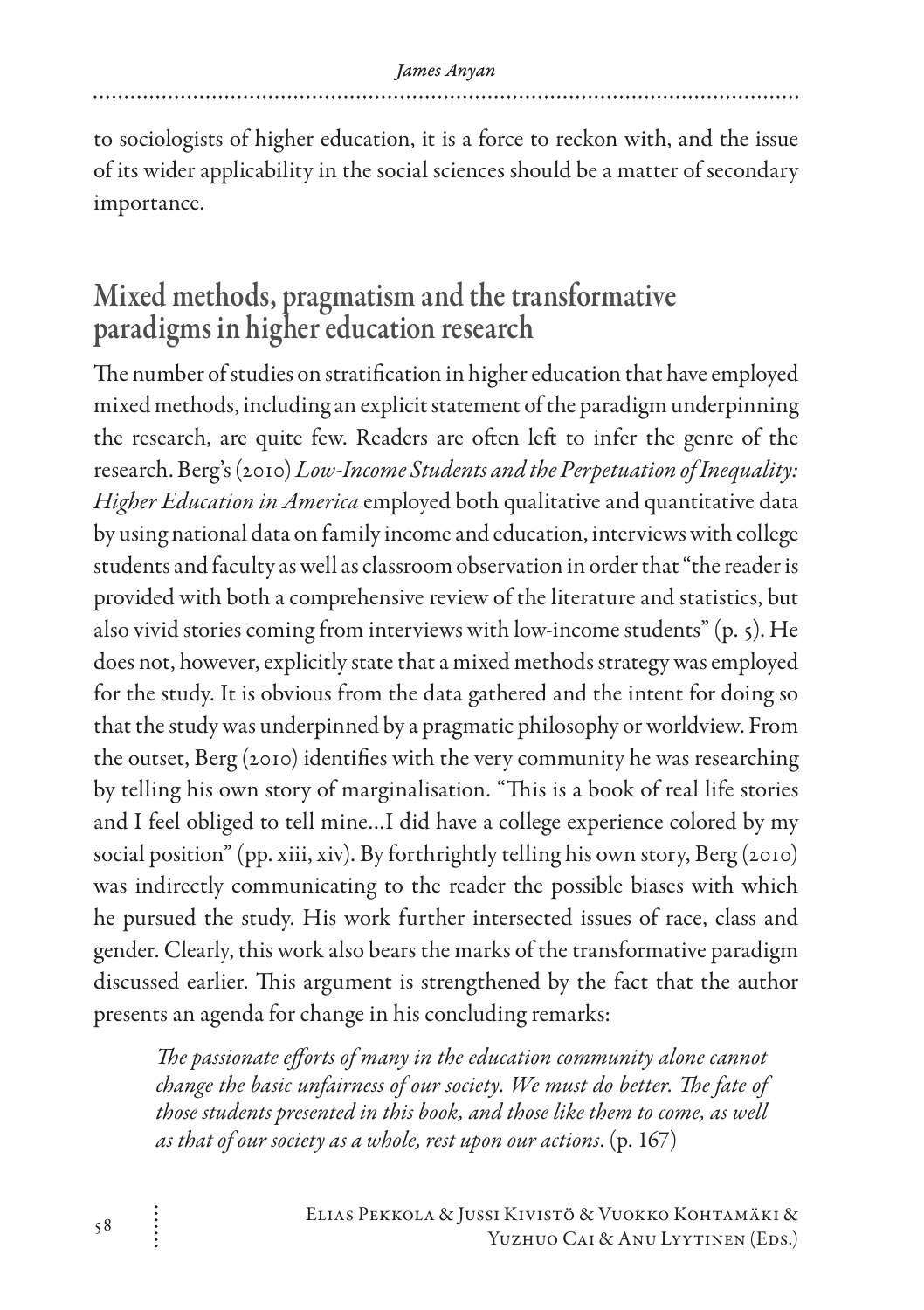to sociologists of higher education, it is a force to reckon with, and the issue of its wider applicability in the social sciences should be a matter of secondary importance.

# Mixed methods, pragmatism and the transformative paradigms in higher education research

The number of studies on stratification in higher education that have employed mixed methods, including an explicit statement of the paradigm underpinning the research, are quite few. Readers are often left to infer the genre of the research. Berg's (2010) *Low-Income Students and the Perpetuation of Inequality: Higher Education in America* employed both qualitative and quantitative data by using national data on family income and education, interviews with college students and faculty as well as classroom observation in order that "the reader is provided with both a comprehensive review of the literature and statistics, but also vivid stories coming from interviews with low-income students" (p. 5). He does not, however, explicitly state that a mixed methods strategy was employed for the study. It is obvious from the data gathered and the intent for doing so that the study was underpinned by a pragmatic philosophy or worldview. From the outset, Berg (2010) identifies with the very community he was researching by telling his own story of marginalisation. "This is a book of real life stories and I feel obliged to tell mine…I did have a college experience colored by my social position" (pp. xiii, xiv). By forthrightly telling his own story, Berg (2010) was indirectly communicating to the reader the possible biases with which he pursued the study. His work further intersected issues of race, class and gender. Clearly, this work also bears the marks of the transformative paradigm discussed earlier. This argument is strengthened by the fact that the author presents an agenda for change in his concluding remarks:

*The passionate efforts of many in the education community alone cannot change the basic unfairness of our society. We must do better. The fate of those students presented in this book, and those like them to come, as well as that of our society as a whole, rest upon our actions*. (p. 167)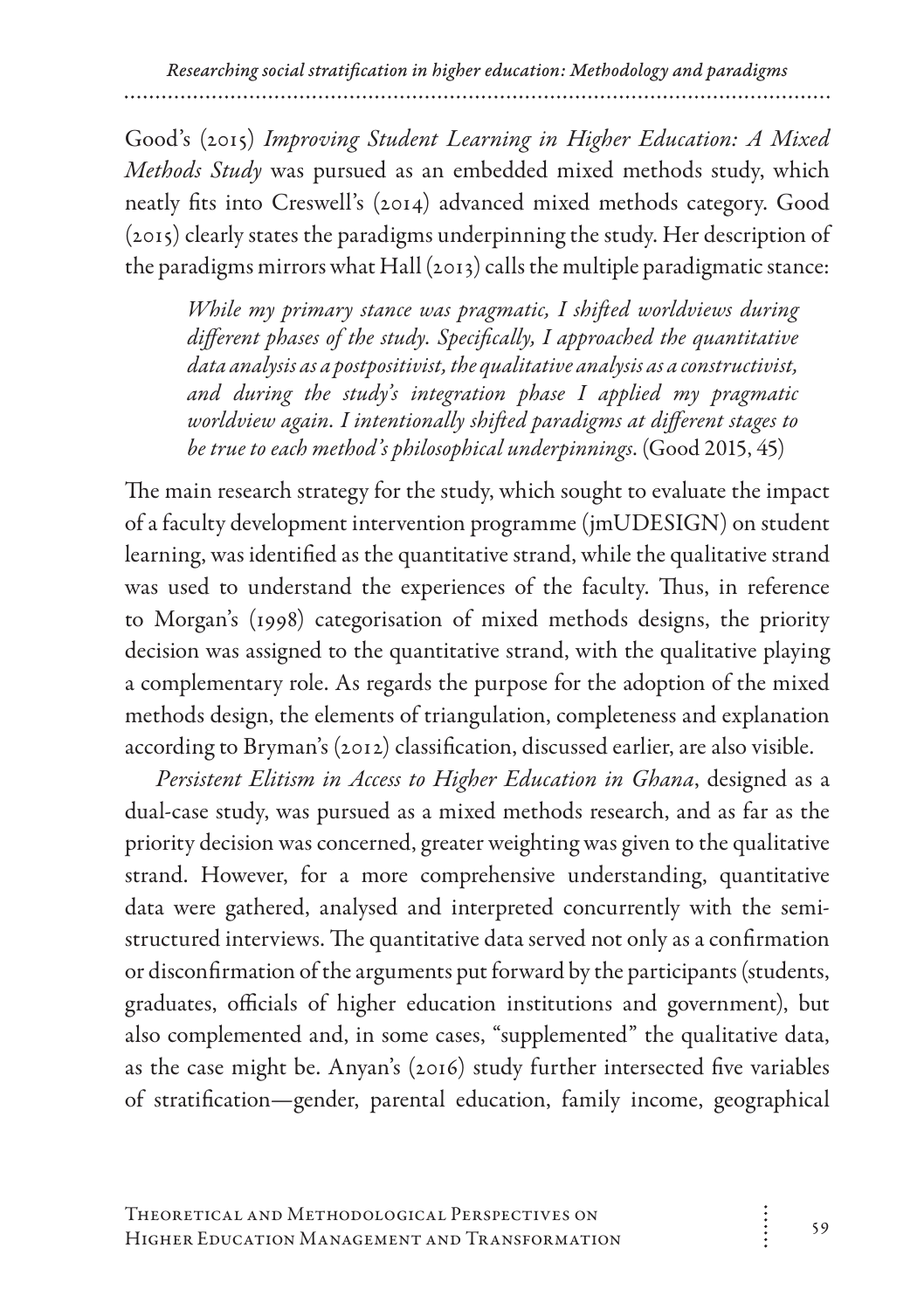Good's (2015) *Improving Student Learning in Higher Education: A Mixed Methods Study* was pursued as an embedded mixed methods study, which neatly fits into Creswell's (2014) advanced mixed methods category. Good (2015) clearly states the paradigms underpinning the study. Her description of the paradigms mirrors what Hall (2013) calls the multiple paradigmatic stance:

*While my primary stance was pragmatic, I shifted worldviews during different phases of the study. Specifically, I approached the quantitative data analysis as a postpositivist, the qualitative analysis as a constructivist, and during the study's integration phase I applied my pragmatic worldview again. I intentionally shifted paradigms at different stages to be true to each method's philosophical underpinnings*. (Good 2015, 45)

The main research strategy for the study, which sought to evaluate the impact of a faculty development intervention programme (jmUDESIGN) on student learning, was identified as the quantitative strand, while the qualitative strand was used to understand the experiences of the faculty. Thus, in reference to Morgan's (1998) categorisation of mixed methods designs, the priority decision was assigned to the quantitative strand, with the qualitative playing a complementary role. As regards the purpose for the adoption of the mixed methods design, the elements of triangulation, completeness and explanation according to Bryman's (2012) classification, discussed earlier, are also visible.

*Persistent Elitism in Access to Higher Education in Ghana*, designed as a dual-case study, was pursued as a mixed methods research, and as far as the priority decision was concerned, greater weighting was given to the qualitative strand. However, for a more comprehensive understanding, quantitative data were gathered, analysed and interpreted concurrently with the semistructured interviews. The quantitative data served not only as a confirmation or disconfirmation of the arguments put forward by the participants (students, graduates, officials of higher education institutions and government), but also complemented and, in some cases, "supplemented" the qualitative data, as the case might be. Anyan's (2016) study further intersected five variables of stratification—gender, parental education, family income, geographical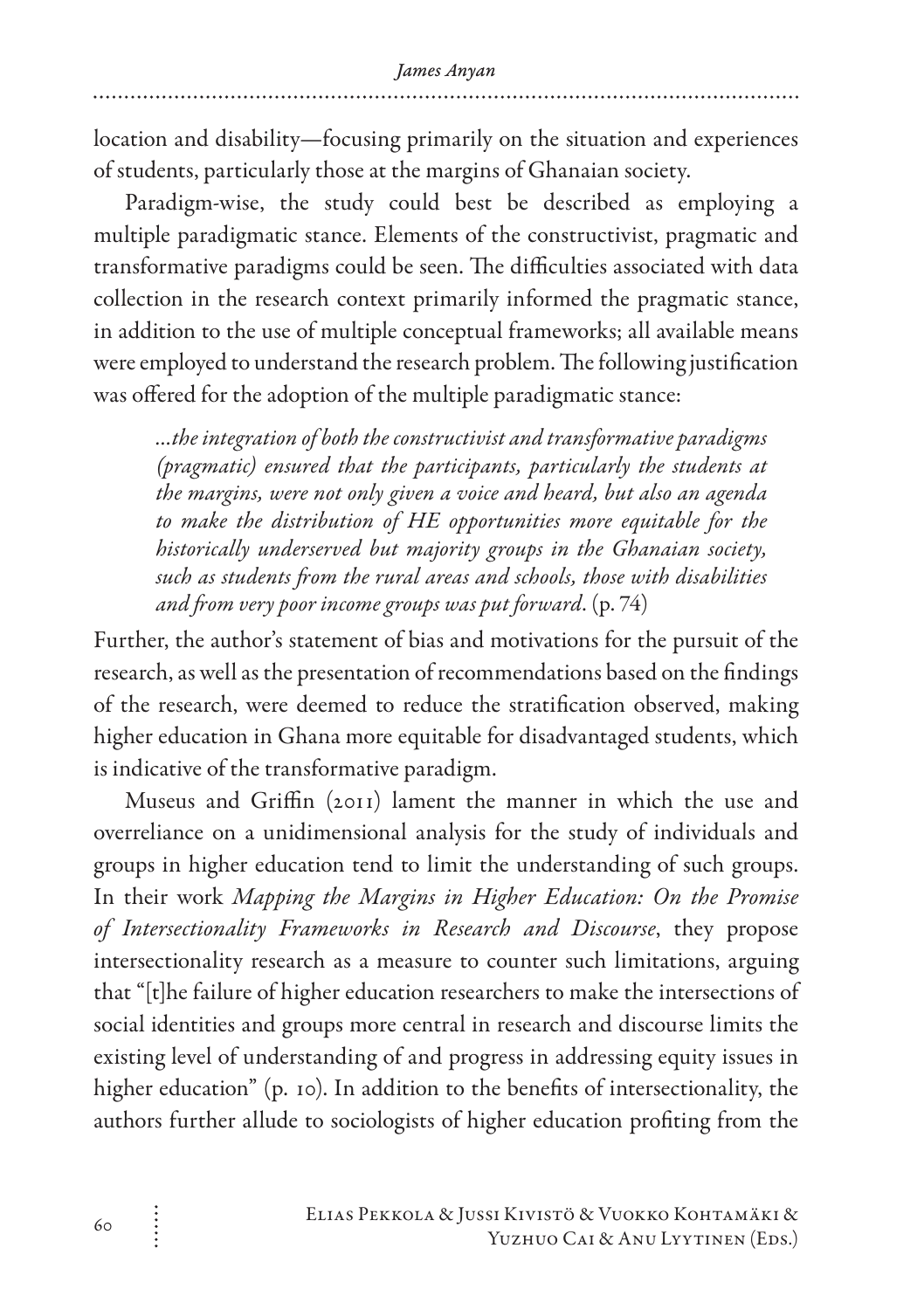location and disability—focusing primarily on the situation and experiences of students, particularly those at the margins of Ghanaian society.

Paradigm-wise, the study could best be described as employing a multiple paradigmatic stance. Elements of the constructivist, pragmatic and transformative paradigms could be seen. The difficulties associated with data collection in the research context primarily informed the pragmatic stance, in addition to the use of multiple conceptual frameworks; all available means were employed to understand the research problem. The following justification was offered for the adoption of the multiple paradigmatic stance:

*…the integration of both the constructivist and transformative paradigms (pragmatic) ensured that the participants, particularly the students at the margins, were not only given a voice and heard, but also an agenda to make the distribution of HE opportunities more equitable for the historically underserved but majority groups in the Ghanaian society, such as students from the rural areas and schools, those with disabilities and from very poor income groups was put forward*. (p. 74)

Further, the author's statement of bias and motivations for the pursuit of the research, as well as the presentation of recommendations based on the findings of the research, were deemed to reduce the stratification observed, making higher education in Ghana more equitable for disadvantaged students, which is indicative of the transformative paradigm.

Museus and Griffin (2011) lament the manner in which the use and overreliance on a unidimensional analysis for the study of individuals and groups in higher education tend to limit the understanding of such groups. In their work *Mapping the Margins in Higher Education: On the Promise of Intersectionality Frameworks in Research and Discourse*, they propose intersectionality research as a measure to counter such limitations, arguing that "[t]he failure of higher education researchers to make the intersections of social identities and groups more central in research and discourse limits the existing level of understanding of and progress in addressing equity issues in higher education" (p. 10). In addition to the benefits of intersectionality, the authors further allude to sociologists of higher education profiting from the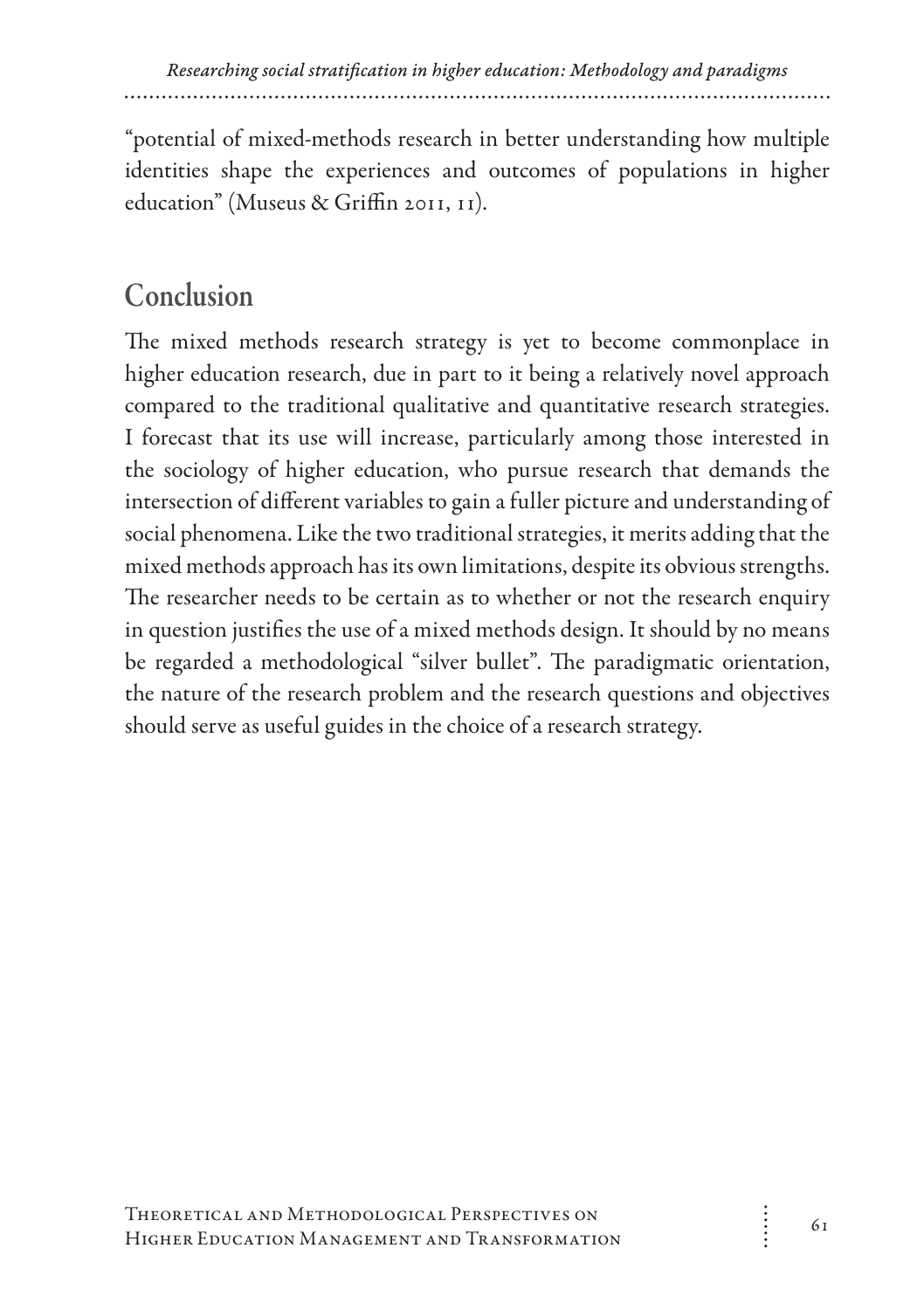"potential of mixed-methods research in better understanding how multiple identities shape the experiences and outcomes of populations in higher education" (Museus & Griffin 2011, 11).

# Conclusion

The mixed methods research strategy is yet to become commonplace in higher education research, due in part to it being a relatively novel approach compared to the traditional qualitative and quantitative research strategies. I forecast that its use will increase, particularly among those interested in the sociology of higher education, who pursue research that demands the intersection of different variables to gain a fuller picture and understanding of social phenomena. Like the two traditional strategies, it merits adding that the mixed methods approach has its own limitations, despite its obvious strengths. The researcher needs to be certain as to whether or not the research enquiry in question justifies the use of a mixed methods design. It should by no means be regarded a methodological "silver bullet". The paradigmatic orientation, the nature of the research problem and the research questions and objectives should serve as useful guides in the choice of a research strategy.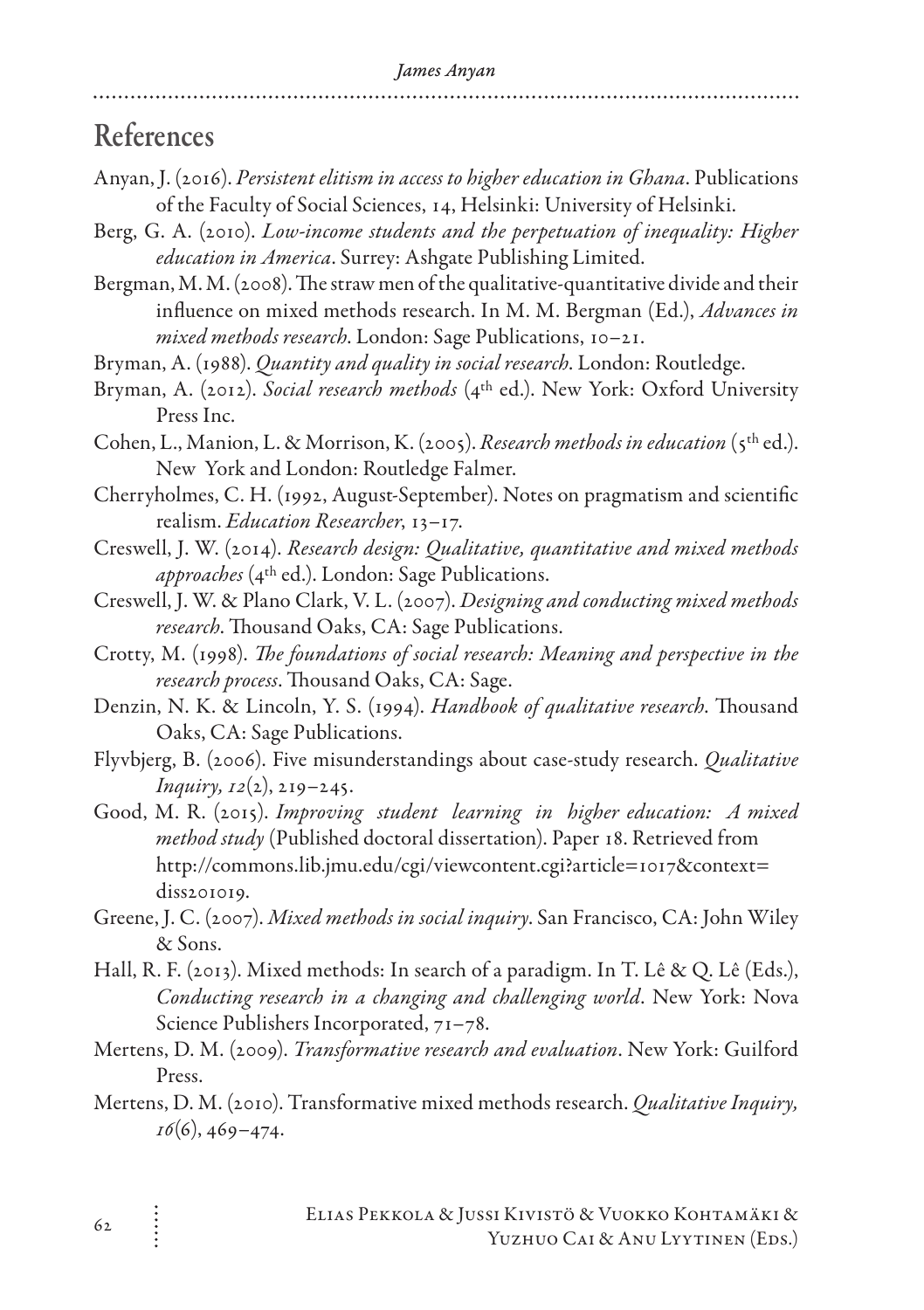### References

- Anyan, J. (2016). *Persistent elitism in access to higher education in Ghana*. Publications of the Faculty of Social Sciences, 14, Helsinki: University of Helsinki.
- Berg, G. A. (2010). *Low-income students and the perpetuation of inequality: Higher education in America*. Surrey: Ashgate Publishing Limited.
- Bergman, M. M. (2008). The straw men of the qualitative-quantitative divide and their influence on mixed methods research. In M. M. Bergman (Ed.), *Advances in mixed methods research*. London: Sage Publications, 10–21.
- Bryman, A. (1988). *Quantity and quality in social research*. London: Routledge.
- Bryman, A. (2012). *Social research methods* (4th ed.). New York: Oxford University Press Inc.
- Cohen, L., Manion, L. & Morrison, K. (2005). *Research methods in education* (5th ed.). New York and London: Routledge Falmer.
- Cherryholmes, C. H. (1992, August-September). Notes on pragmatism and scientific realism. *Education Researcher*, 13–17.
- Creswell, J. W. (2014). *Research design: Qualitative, quantitative and mixed methods approaches* (4th ed.). London: Sage Publications.
- Creswell, J. W. & Plano Clark, V. L. (2007). *Designing and conducting mixed methods research*. Thousand Oaks, CA: Sage Publications.
- Crotty, M. (1998). *The foundations of social research: Meaning and perspective in the research process*. Thousand Oaks, CA: Sage.
- Denzin, N. K. & Lincoln, Y. S. (1994). *Handbook of qualitative research*. Thousand Oaks, CA: Sage Publications.
- Flyvbjerg, B. (2006). Five misunderstandings about case-study research. *Qualitative Inquiry, 12*(2), 219–245.
- Good, M. R. (2015). *Improving student learning in higher education: A mixed method study* (Published doctoral dissertation). Paper 18. Retrieved from http://commons.lib.jmu.edu/cgi/viewcontent.cgi?article=1017&context= diss201019.
- Greene, J. C. (2007). *Mixed methods in social inquiry*. San Francisco, CA: John Wiley & Sons.
- Hall, R. F. (2013). Mixed methods: In search of a paradigm. In T. Lê & Q. Lê (Eds.), *Conducting research in a changing and challenging world*. New York: Nova Science Publishers Incorporated, 71–78.
- Mertens, D. M. (2009). *Transformative research and evaluation*. New York: Guilford Press.
- Mertens, D. M. (2010). Transformative mixed methods research. *Qualitative Inquiry, 16*(6), 469–474.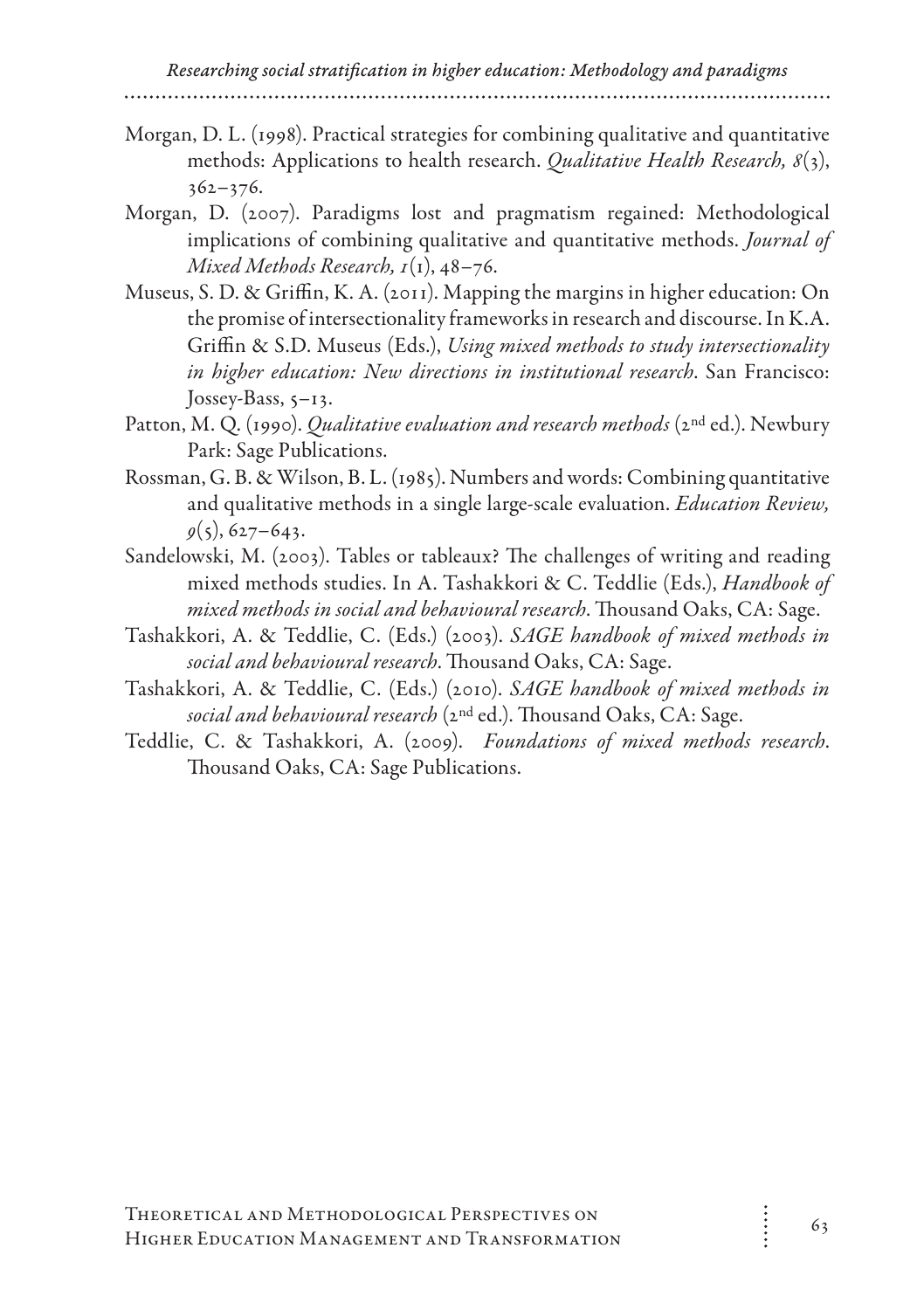Morgan, D. L. (1998). Practical strategies for combining qualitative and quantitative methods: Applications to health research. *Qualitative Health Research, 8*(3),  $362 - 376.$ 

- Morgan, D. (2007). Paradigms lost and pragmatism regained: Methodological implications of combining qualitative and quantitative methods. *Journal of Mixed Methods Research, 1*(1), 48–76.
- Museus, S. D. & Griffin, K. A. (2011). Mapping the margins in higher education: On the promise of intersectionality frameworks in research and discourse. In K.A. Griffin & S.D. Museus (Eds.), *Using mixed methods to study intersectionality in higher education: New directions in institutional research*. San Francisco: Jossey-Bass, 5–13.
- Patton, M. Q. (1990). *Qualitative evaluation and research methods* (2<sup>nd</sup> ed.). Newbury Park: Sage Publications.
- Rossman, G. B. & Wilson, B. L. (1985). Numbers and words: Combining quantitative and qualitative methods in a single large-scale evaluation. *Education Review,*   $g(s)$ , 627–643.
- Sandelowski, M. (2003). Tables or tableaux? The challenges of writing and reading mixed methods studies. In A. Tashakkori & C. Teddlie (Eds.), *Handbook of mixed methods in social and behavioural research*. Thousand Oaks, CA: Sage.
- Tashakkori, A. & Teddlie, C. (Eds.) (2003). *SAGE handbook of mixed methods in social and behavioural research*. Thousand Oaks, CA: Sage.
- Tashakkori, A. & Teddlie, C. (Eds.) (2010). *SAGE handbook of mixed methods in social and behavioural research* (2nd ed.). Thousand Oaks, CA: Sage.
- Teddlie, C. & Tashakkori, A. (2009). *Foundations of mixed methods research*. Thousand Oaks, CA: Sage Publications.

 $\ddot{\cdot}$